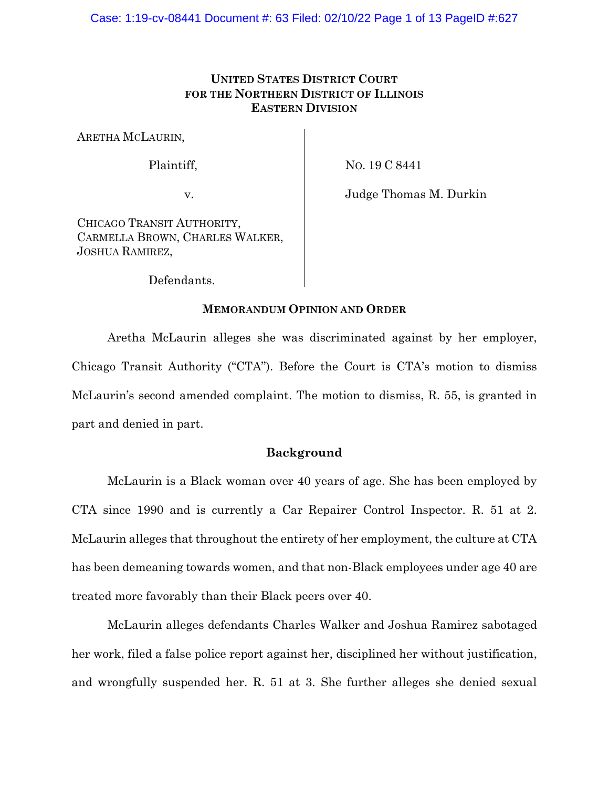# **UNITED STATES DISTRICT COURT FOR THE NORTHERN DISTRICT OF ILLINOIS EASTERN DIVISION**

ARETHA MCLAURIN,

Plaintiff,

NO. 19 C 8441

v.

Judge Thomas M. Durkin

CHICAGO TRANSIT AUTHORITY, CARMELLA BROWN, CHARLES WALKER, JOSHUA RAMIREZ,

Defendants.

# **MEMORANDUM OPINION AND ORDER**

Aretha McLaurin alleges she was discriminated against by her employer, Chicago Transit Authority ("CTA"). Before the Court is CTA's motion to dismiss McLaurin's second amended complaint. The motion to dismiss, R. 55, is granted in part and denied in part.

# **Background**

McLaurin is a Black woman over 40 years of age. She has been employed by CTA since 1990 and is currently a Car Repairer Control Inspector. R. 51 at 2. McLaurin alleges that throughout the entirety of her employment, the culture at CTA has been demeaning towards women, and that non-Black employees under age 40 are treated more favorably than their Black peers over 40.

McLaurin alleges defendants Charles Walker and Joshua Ramirez sabotaged her work, filed a false police report against her, disciplined her without justification, and wrongfully suspended her. R. 51 at 3. She further alleges she denied sexual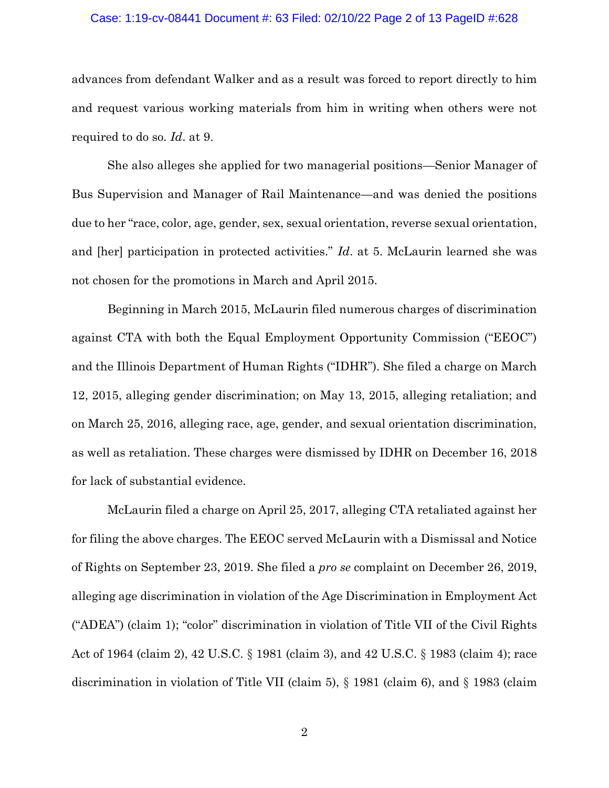#### Case: 1:19-cv-08441 Document #: 63 Filed: 02/10/22 Page 2 of 13 PageID #:628

advances from defendant Walker and as a result was forced to report directly to him and request various working materials from him in writing when others were not required to do so. *Id*. at 9.

She also alleges she applied for two managerial positions—Senior Manager of Bus Supervision and Manager of Rail Maintenance—and was denied the positions due to her "race, color, age, gender, sex, sexual orientation, reverse sexual orientation, and [her] participation in protected activities." *Id*. at 5. McLaurin learned she was not chosen for the promotions in March and April 2015.

Beginning in March 2015, McLaurin filed numerous charges of discrimination against CTA with both the Equal Employment Opportunity Commission ("EEOC") and the Illinois Department of Human Rights ("IDHR"). She filed a charge on March 12, 2015, alleging gender discrimination; on May 13, 2015, alleging retaliation; and on March 25, 2016, alleging race, age, gender, and sexual orientation discrimination, as well as retaliation. These charges were dismissed by IDHR on December 16, 2018 for lack of substantial evidence.

McLaurin filed a charge on April 25, 2017, alleging CTA retaliated against her for filing the above charges. The EEOC served McLaurin with a Dismissal and Notice of Rights on September 23, 2019. She filed a *pro se* complaint on December 26, 2019, alleging age discrimination in violation of the Age Discrimination in Employment Act ("ADEA") (claim 1); "color" discrimination in violation of Title VII of the Civil Rights Act of 1964 (claim 2), 42 U.S.C. § 1981 (claim 3), and 42 U.S.C. § 1983 (claim 4); race discrimination in violation of Title VII (claim 5), § 1981 (claim 6), and § 1983 (claim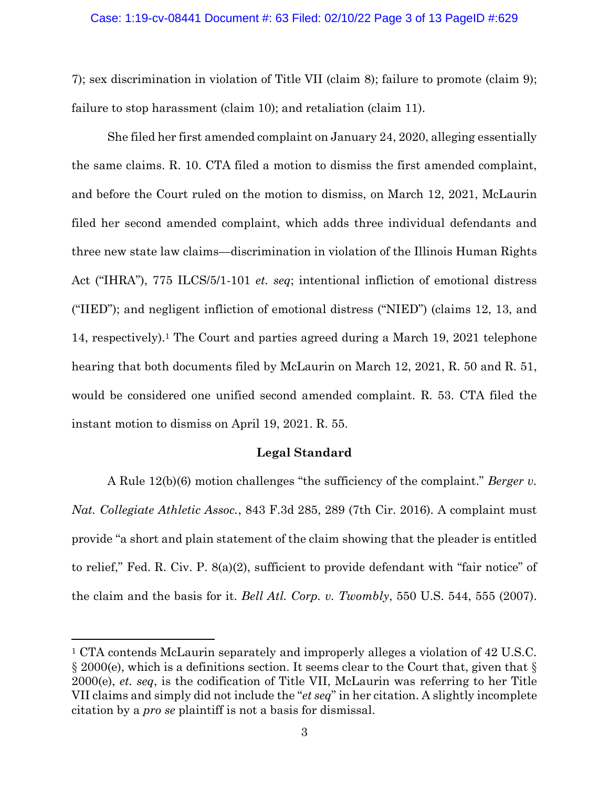#### Case: 1:19-cv-08441 Document #: 63 Filed: 02/10/22 Page 3 of 13 PageID #:629

7); sex discrimination in violation of Title VII (claim 8); failure to promote (claim 9); failure to stop harassment (claim 10); and retaliation (claim 11).

She filed her first amended complaint on January 24, 2020, alleging essentially the same claims. R. 10. CTA filed a motion to dismiss the first amended complaint, and before the Court ruled on the motion to dismiss, on March 12, 2021, McLaurin filed her second amended complaint, which adds three individual defendants and three new state law claims—discrimination in violation of the Illinois Human Rights Act ("IHRA"), 775 ILCS/5/1-101 *et. seq*; intentional infliction of emotional distress ("IIED"); and negligent infliction of emotional distress ("NIED") (claims 12, 13, and 14, respectively).<sup>1</sup> The Court and parties agreed during a March 19, 2021 telephone hearing that both documents filed by McLaurin on March 12, 2021, R. 50 and R. 51, would be considered one unified second amended complaint. R. 53. CTA filed the instant motion to dismiss on April 19, 2021. R. 55.

#### **Legal Standard**

A Rule 12(b)(6) motion challenges "the sufficiency of the complaint." *Berger v. Nat. Collegiate Athletic Assoc.*, 843 F.3d 285, 289 (7th Cir. 2016). A complaint must provide "a short and plain statement of the claim showing that the pleader is entitled to relief," Fed. R. Civ. P. 8(a)(2), sufficient to provide defendant with "fair notice" of the claim and the basis for it. *Bell Atl. Corp. v. Twombly*, 550 U.S. 544, 555 (2007).

<sup>1</sup> CTA contends McLaurin separately and improperly alleges a violation of 42 U.S.C. § 2000(e), which is a definitions section. It seems clear to the Court that, given that § 2000(e), *et. seq*, is the codification of Title VII, McLaurin was referring to her Title VII claims and simply did not include the "*et seq*" in her citation. A slightly incomplete citation by a *pro se* plaintiff is not a basis for dismissal.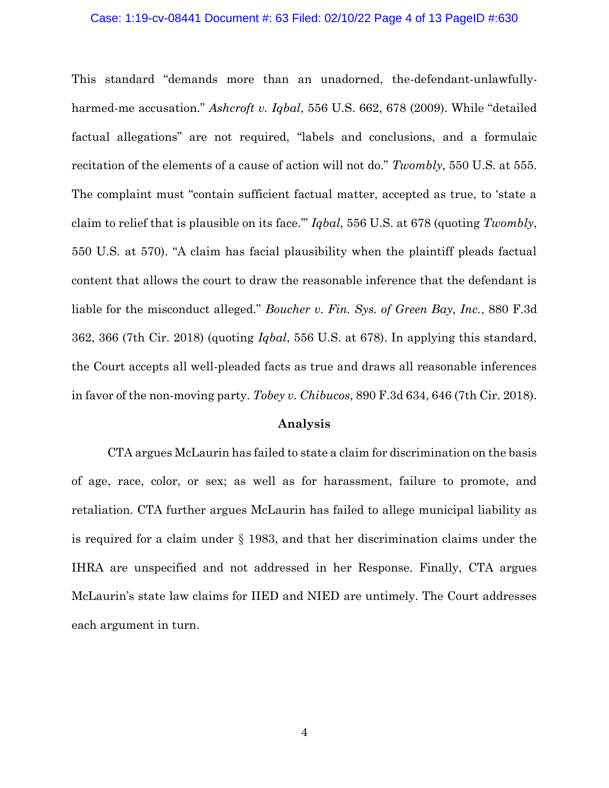#### Case: 1:19-cv-08441 Document #: 63 Filed: 02/10/22 Page 4 of 13 PageID #:630

This standard "demands more than an unadorned, the-defendant-unlawfullyharmed-me accusation." *Ashcroft v. Iqbal*, 556 U.S. 662, 678 (2009). While "detailed factual allegations" are not required, "labels and conclusions, and a formulaic recitation of the elements of a cause of action will not do." *Twombly*, 550 U.S. at 555. The complaint must "contain sufficient factual matter, accepted as true, to 'state a claim to relief that is plausible on its face.'" *Iqbal*, 556 U.S. at 678 (quoting *Twombly*, 550 U.S. at 570). "A claim has facial plausibility when the plaintiff pleads factual content that allows the court to draw the reasonable inference that the defendant is liable for the misconduct alleged." *Boucher v. Fin. Sys. of Green Bay, Inc.*, 880 F.3d 362, 366 (7th Cir. 2018) (quoting *Iqbal*, 556 U.S. at 678). In applying this standard, the Court accepts all well-pleaded facts as true and draws all reasonable inferences in favor of the non-moving party. *Tobey v. Chibucos*, 890 F.3d 634, 646 (7th Cir. 2018).

### **Analysis**

CTA argues McLaurin has failed to state a claim for discrimination on the basis of age, race, color, or sex; as well as for harassment, failure to promote, and retaliation. CTA further argues McLaurin has failed to allege municipal liability as is required for a claim under § 1983, and that her discrimination claims under the IHRA are unspecified and not addressed in her Response. Finally, CTA argues McLaurin's state law claims for IIED and NIED are untimely. The Court addresses each argument in turn.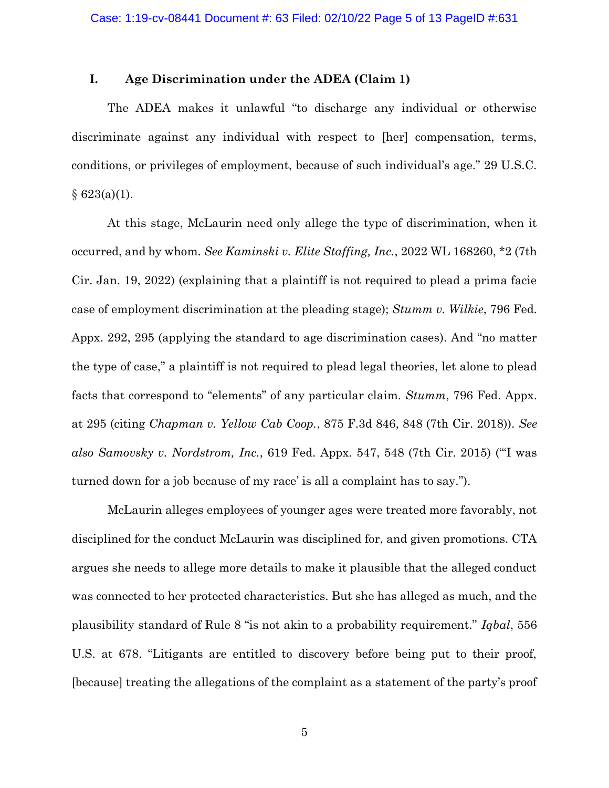## **I. Age Discrimination under the ADEA (Claim 1)**

The ADEA makes it unlawful "to discharge any individual or otherwise discriminate against any individual with respect to [her] compensation, terms, conditions, or privileges of employment, because of such individual's age." 29 U.S.C.  $§ 623(a)(1).$ 

At this stage, McLaurin need only allege the type of discrimination, when it occurred, and by whom. *See Kaminski v. Elite Staffing, Inc.*, 2022 WL 168260, \*2 (7th Cir. Jan. 19, 2022) (explaining that a plaintiff is not required to plead a prima facie case of employment discrimination at the pleading stage); *Stumm v. Wilkie*, 796 Fed. Appx. 292, 295 (applying the standard to age discrimination cases). And "no matter the type of case," a plaintiff is not required to plead legal theories, let alone to plead facts that correspond to "elements" of any particular claim. *Stumm*, 796 Fed. Appx. at 295 (citing *Chapman v. Yellow Cab Coop.*, 875 F.3d 846, 848 (7th Cir. 2018)). *See also Samovsky v. Nordstrom, Inc.*, 619 Fed. Appx. 547, 548 (7th Cir. 2015) ("'I was turned down for a job because of my race' is all a complaint has to say.").

McLaurin alleges employees of younger ages were treated more favorably, not disciplined for the conduct McLaurin was disciplined for, and given promotions. CTA argues she needs to allege more details to make it plausible that the alleged conduct was connected to her protected characteristics. But she has alleged as much, and the plausibility standard of Rule 8 "is not akin to a probability requirement." *Iqbal*, 556 U.S. at 678. "Litigants are entitled to discovery before being put to their proof, [because] treating the allegations of the complaint as a statement of the party's proof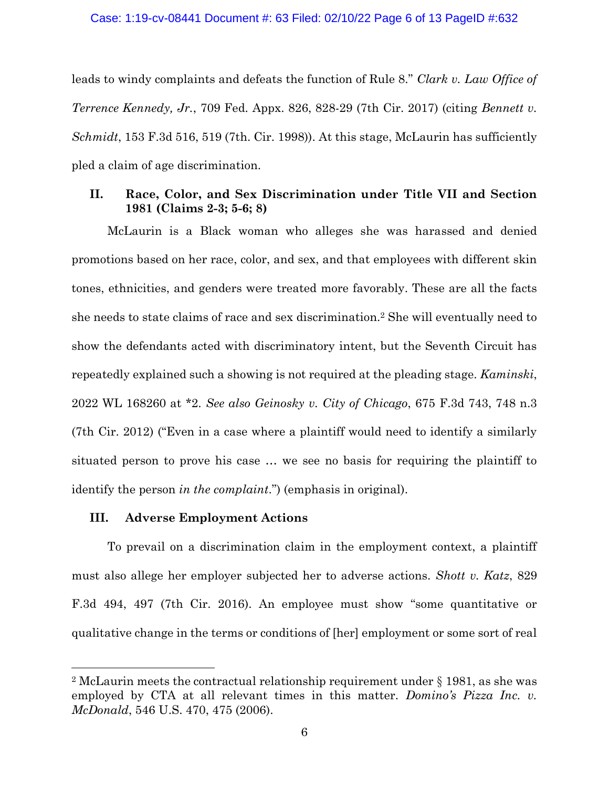leads to windy complaints and defeats the function of Rule 8." *Clark v. Law Office of Terrence Kennedy, Jr.*, 709 Fed. Appx. 826, 828-29 (7th Cir. 2017) (citing *Bennett v. Schmidt*, 153 F.3d 516, 519 (7th. Cir. 1998)). At this stage, McLaurin has sufficiently pled a claim of age discrimination.

# **II. Race, Color, and Sex Discrimination under Title VII and Section 1981 (Claims 2-3; 5-6; 8)**

McLaurin is a Black woman who alleges she was harassed and denied promotions based on her race, color, and sex, and that employees with different skin tones, ethnicities, and genders were treated more favorably. These are all the facts she needs to state claims of race and sex discrimination.<sup>2</sup> She will eventually need to show the defendants acted with discriminatory intent, but the Seventh Circuit has repeatedly explained such a showing is not required at the pleading stage. *Kaminski*, 2022 WL 168260 at \*2. *See also Geinosky v. City of Chicago*, 675 F.3d 743, 748 n.3 (7th Cir. 2012) ("Even in a case where a plaintiff would need to identify a similarly situated person to prove his case … we see no basis for requiring the plaintiff to identify the person *in the complaint*.") (emphasis in original).

### **III. Adverse Employment Actions**

To prevail on a discrimination claim in the employment context, a plaintiff must also allege her employer subjected her to adverse actions. *Shott v. Katz*, 829 F.3d 494, 497 (7th Cir. 2016). An employee must show "some quantitative or qualitative change in the terms or conditions of [her] employment or some sort of real

<sup>2</sup> McLaurin meets the contractual relationship requirement under § 1981, as she was employed by CTA at all relevant times in this matter. *Domino's Pizza Inc. v. McDonald*, 546 U.S. 470, 475 (2006).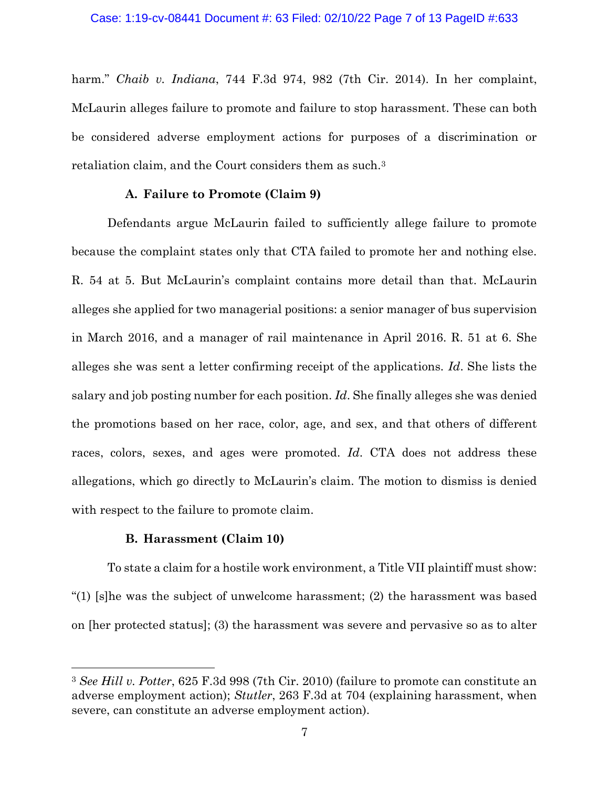harm." *Chaib v. Indiana*, 744 F.3d 974, 982 (7th Cir. 2014). In her complaint, McLaurin alleges failure to promote and failure to stop harassment. These can both be considered adverse employment actions for purposes of a discrimination or retaliation claim, and the Court considers them as such.<sup>3</sup>

#### **A. Failure to Promote (Claim 9)**

Defendants argue McLaurin failed to sufficiently allege failure to promote because the complaint states only that CTA failed to promote her and nothing else. R. 54 at 5. But McLaurin's complaint contains more detail than that. McLaurin alleges she applied for two managerial positions: a senior manager of bus supervision in March 2016, and a manager of rail maintenance in April 2016. R. 51 at 6. She alleges she was sent a letter confirming receipt of the applications. *Id*. She lists the salary and job posting number for each position. *Id*. She finally alleges she was denied the promotions based on her race, color, age, and sex, and that others of different races, colors, sexes, and ages were promoted. *Id*. CTA does not address these allegations, which go directly to McLaurin's claim. The motion to dismiss is denied with respect to the failure to promote claim.

#### **B. Harassment (Claim 10)**

To state a claim for a hostile work environment, a Title VII plaintiff must show: "(1) [s]he was the subject of unwelcome harassment; (2) the harassment was based on [her protected status]; (3) the harassment was severe and pervasive so as to alter

<sup>3</sup> *See Hill v. Potter*, 625 F.3d 998 (7th Cir. 2010) (failure to promote can constitute an adverse employment action); *Stutler*, 263 F.3d at 704 (explaining harassment, when severe, can constitute an adverse employment action).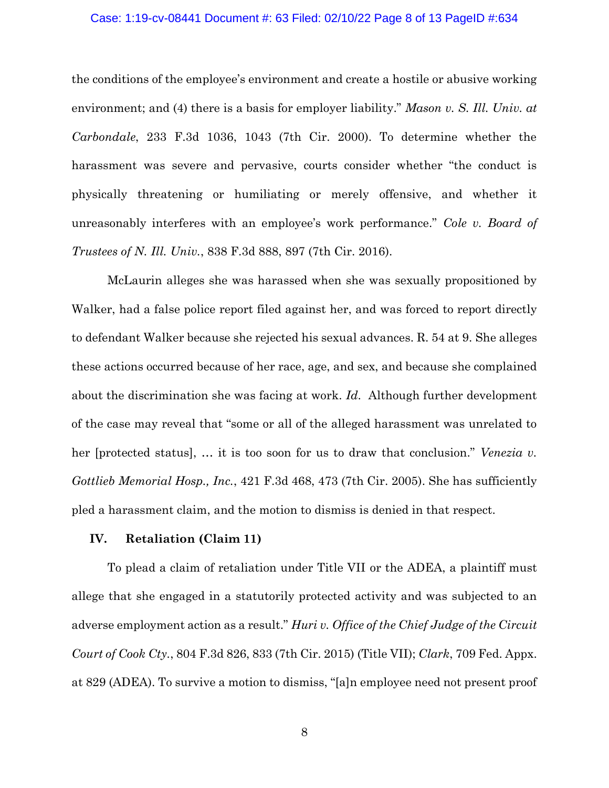#### Case: 1:19-cv-08441 Document #: 63 Filed: 02/10/22 Page 8 of 13 PageID #:634

the conditions of the employee's environment and create a hostile or abusive working environment; and (4) there is a basis for employer liability." *Mason v. S. Ill. Univ. at Carbondale*, 233 F.3d 1036, 1043 (7th Cir. 2000). To determine whether the harassment was severe and pervasive, courts consider whether "the conduct is physically threatening or humiliating or merely offensive, and whether it unreasonably interferes with an employee's work performance." *Cole v. Board of Trustees of N. Ill. Univ.*, 838 F.3d 888, 897 (7th Cir. 2016).

McLaurin alleges she was harassed when she was sexually propositioned by Walker, had a false police report filed against her, and was forced to report directly to defendant Walker because she rejected his sexual advances. R. 54 at 9. She alleges these actions occurred because of her race, age, and sex, and because she complained about the discrimination she was facing at work. *Id*. Although further development of the case may reveal that "some or all of the alleged harassment was unrelated to her [protected status], … it is too soon for us to draw that conclusion." *Venezia v. Gottlieb Memorial Hosp., Inc.*, 421 F.3d 468, 473 (7th Cir. 2005). She has sufficiently pled a harassment claim, and the motion to dismiss is denied in that respect.

#### **IV. Retaliation (Claim 11)**

To plead a claim of retaliation under Title VII or the ADEA, a plaintiff must allege that she engaged in a statutorily protected activity and was subjected to an adverse employment action as a result." *Huri v. Office of the Chief Judge of the Circuit Court of Cook Cty.*, 804 F.3d 826, 833 (7th Cir. 2015) (Title VII); *Clark*, 709 Fed. Appx. at 829 (ADEA). To survive a motion to dismiss, "[a]n employee need not present proof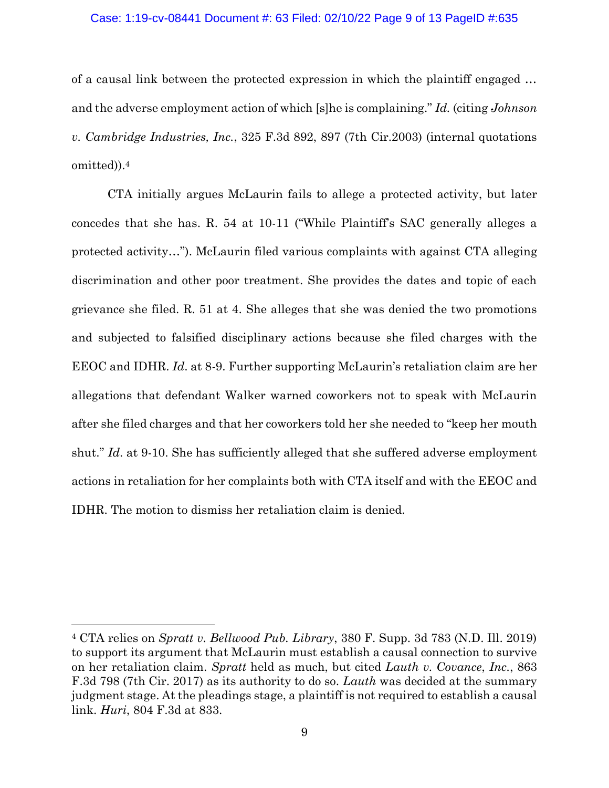## Case: 1:19-cv-08441 Document #: 63 Filed: 02/10/22 Page 9 of 13 PageID #:635

of a causal link between the protected expression in which the plaintiff engaged … and the adverse employment action of which [s]he is complaining." *Id.* (citing *Johnson v. Cambridge Industries, Inc.*, 325 F.3d 892, 897 (7th Cir.2003) (internal quotations omitted)).<sup>4</sup>

CTA initially argues McLaurin fails to allege a protected activity, but later concedes that she has. R. 54 at 10-11 ("While Plaintiff's SAC generally alleges a protected activity…"). McLaurin filed various complaints with against CTA alleging discrimination and other poor treatment. She provides the dates and topic of each grievance she filed. R. 51 at 4. She alleges that she was denied the two promotions and subjected to falsified disciplinary actions because she filed charges with the EEOC and IDHR. *Id*. at 8-9. Further supporting McLaurin's retaliation claim are her allegations that defendant Walker warned coworkers not to speak with McLaurin after she filed charges and that her coworkers told her she needed to "keep her mouth shut." *Id.* at 9-10. She has sufficiently alleged that she suffered adverse employment actions in retaliation for her complaints both with CTA itself and with the EEOC and IDHR. The motion to dismiss her retaliation claim is denied.

<sup>4</sup> CTA relies on *Spratt v. Bellwood Pub. Library*, 380 F. Supp. 3d 783 (N.D. Ill. 2019) to support its argument that McLaurin must establish a causal connection to survive on her retaliation claim. *Spratt* held as much, but cited *Lauth v. Covance*, *Inc.*, 863 F.3d 798 (7th Cir. 2017) as its authority to do so. *Lauth* was decided at the summary judgment stage. At the pleadings stage, a plaintiff is not required to establish a causal link. *Huri*, 804 F.3d at 833.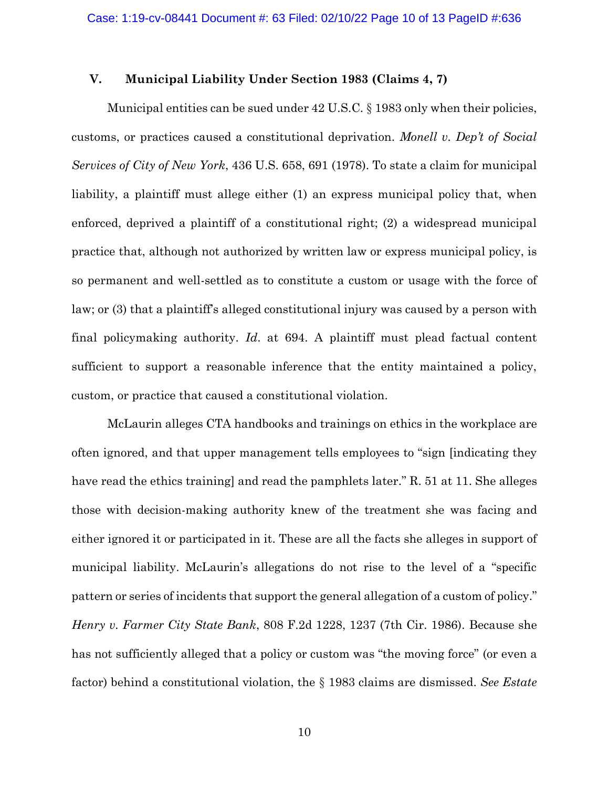# **V. Municipal Liability Under Section 1983 (Claims 4, 7)**

Municipal entities can be sued under 42 U.S.C. § 1983 only when their policies, customs, or practices caused a constitutional deprivation. *Monell v. Dep't of Social Services of City of New York*, 436 U.S. 658, 691 (1978). To state a claim for municipal liability, a plaintiff must allege either (1) an express municipal policy that, when enforced, deprived a plaintiff of a constitutional right; (2) a widespread municipal practice that, although not authorized by written law or express municipal policy, is so permanent and well-settled as to constitute a custom or usage with the force of law; or (3) that a plaintiff's alleged constitutional injury was caused by a person with final policymaking authority. *Id*. at 694. A plaintiff must plead factual content sufficient to support a reasonable inference that the entity maintained a policy, custom, or practice that caused a constitutional violation.

McLaurin alleges CTA handbooks and trainings on ethics in the workplace are often ignored, and that upper management tells employees to "sign [indicating they have read the ethics training] and read the pamphlets later." R. 51 at 11. She alleges those with decision-making authority knew of the treatment she was facing and either ignored it or participated in it. These are all the facts she alleges in support of municipal liability. McLaurin's allegations do not rise to the level of a "specific pattern or series of incidents that support the general allegation of a custom of policy." *Henry v. Farmer City State Bank*, 808 F.2d 1228, 1237 (7th Cir. 1986). Because she has not sufficiently alleged that a policy or custom was "the moving force" (or even a factor) behind a constitutional violation, the § 1983 claims are dismissed. *See Estate*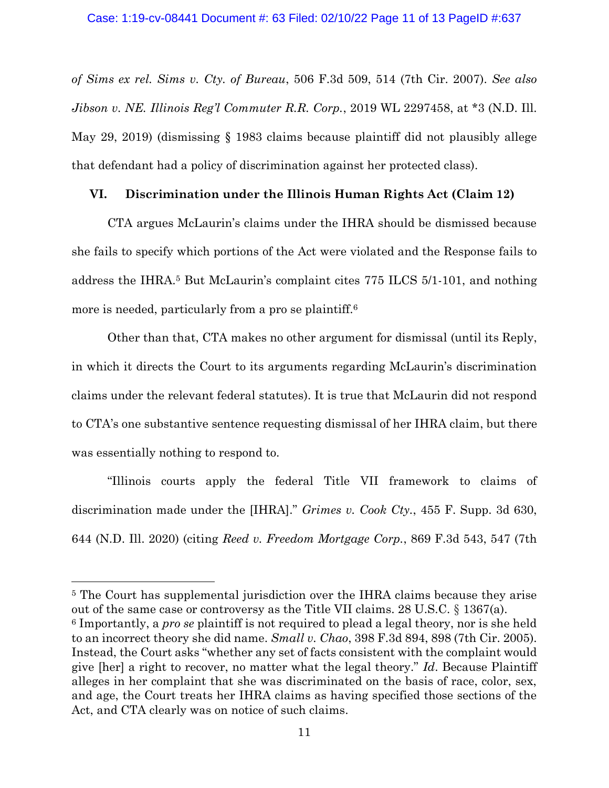*of Sims ex rel. Sims v. Cty. of Bureau*, 506 F.3d 509, 514 (7th Cir. 2007). *See also Jibson v. NE. Illinois Reg'l Commuter R.R. Corp.*, 2019 WL 2297458, at \*3 (N.D. Ill. May 29, 2019) (dismissing § 1983 claims because plaintiff did not plausibly allege that defendant had a policy of discrimination against her protected class).

# **VI. Discrimination under the Illinois Human Rights Act (Claim 12)**

CTA argues McLaurin's claims under the IHRA should be dismissed because she fails to specify which portions of the Act were violated and the Response fails to address the IHRA.<sup>5</sup> But McLaurin's complaint cites 775 ILCS 5/1-101, and nothing more is needed, particularly from a pro se plaintiff.<sup>6</sup>

Other than that, CTA makes no other argument for dismissal (until its Reply, in which it directs the Court to its arguments regarding McLaurin's discrimination claims under the relevant federal statutes). It is true that McLaurin did not respond to CTA's one substantive sentence requesting dismissal of her IHRA claim, but there was essentially nothing to respond to.

"Illinois courts apply the federal Title VII framework to claims of discrimination made under the [IHRA]." *Grimes v. Cook Cty.*, 455 F. Supp. 3d 630, 644 (N.D. Ill. 2020) (citing *Reed v. Freedom Mortgage Corp.*, 869 F.3d 543, 547 (7th

<sup>5</sup> The Court has supplemental jurisdiction over the IHRA claims because they arise out of the same case or controversy as the Title VII claims. 28 U.S.C. § 1367(a). <sup>6</sup> Importantly, a *pro se* plaintiff is not required to plead a legal theory, nor is she held to an incorrect theory she did name. *Small v. Chao*, 398 F.3d 894, 898 (7th Cir. 2005). Instead, the Court asks "whether any set of facts consistent with the complaint would give [her] a right to recover, no matter what the legal theory." *Id*. Because Plaintiff alleges in her complaint that she was discriminated on the basis of race, color, sex, and age, the Court treats her IHRA claims as having specified those sections of the Act, and CTA clearly was on notice of such claims.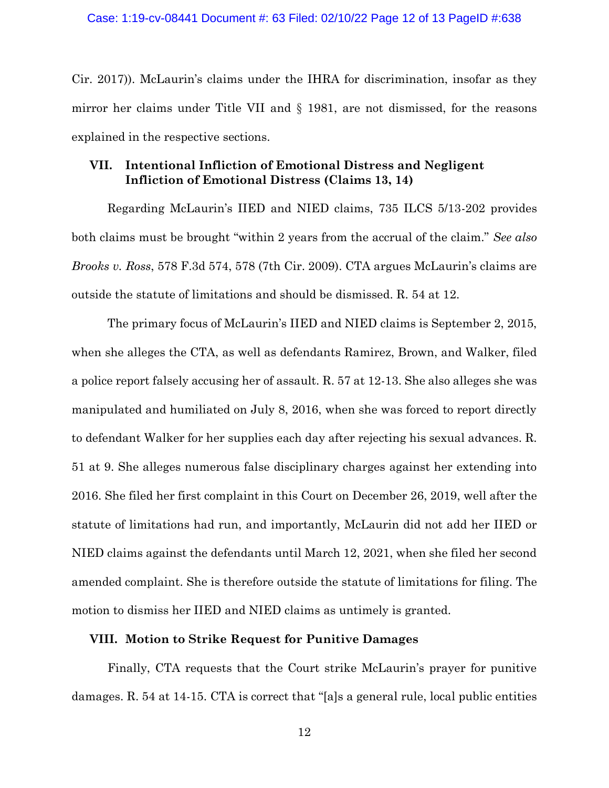Cir. 2017)). McLaurin's claims under the IHRA for discrimination, insofar as they mirror her claims under Title VII and § 1981, are not dismissed, for the reasons explained in the respective sections.

# **VII. Intentional Infliction of Emotional Distress and Negligent Infliction of Emotional Distress (Claims 13, 14)**

Regarding McLaurin's IIED and NIED claims, 735 ILCS 5/13-202 provides both claims must be brought "within 2 years from the accrual of the claim." *See also Brooks v. Ross*, 578 F.3d 574, 578 (7th Cir. 2009). CTA argues McLaurin's claims are outside the statute of limitations and should be dismissed. R. 54 at 12.

The primary focus of McLaurin's IIED and NIED claims is September 2, 2015, when she alleges the CTA, as well as defendants Ramirez, Brown, and Walker, filed a police report falsely accusing her of assault. R. 57 at 12-13. She also alleges she was manipulated and humiliated on July 8, 2016, when she was forced to report directly to defendant Walker for her supplies each day after rejecting his sexual advances. R. 51 at 9. She alleges numerous false disciplinary charges against her extending into 2016. She filed her first complaint in this Court on December 26, 2019, well after the statute of limitations had run, and importantly, McLaurin did not add her IIED or NIED claims against the defendants until March 12, 2021, when she filed her second amended complaint. She is therefore outside the statute of limitations for filing. The motion to dismiss her IIED and NIED claims as untimely is granted.

### **VIII. Motion to Strike Request for Punitive Damages**

Finally, CTA requests that the Court strike McLaurin's prayer for punitive damages. R. 54 at 14-15. CTA is correct that "[a]s a general rule, local public entities